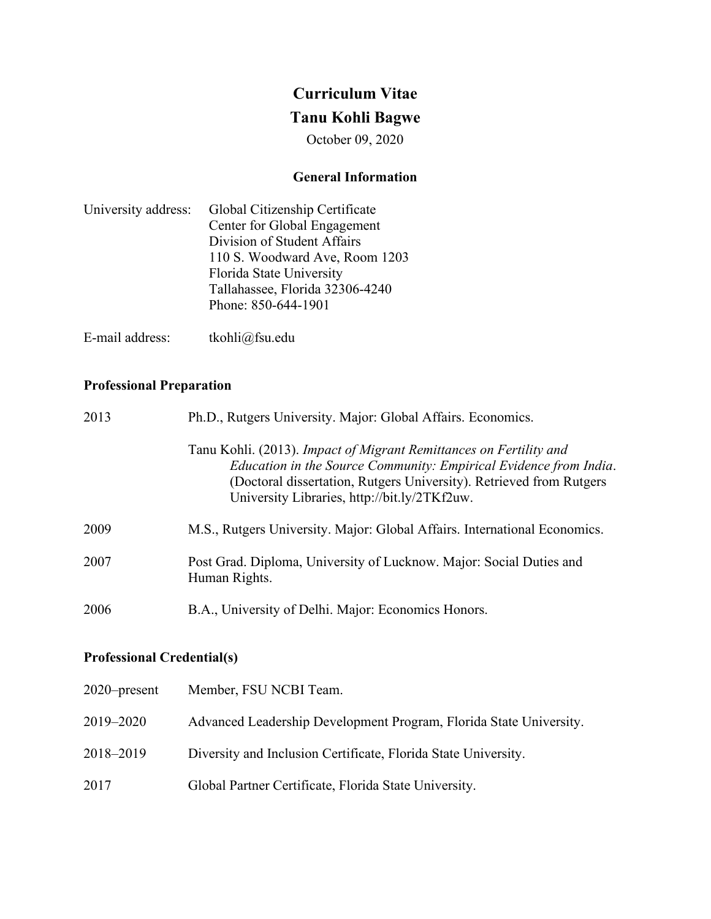# **Curriculum Vitae**

# **Tanu Kohli Bagwe**

October 09, 2020

## **General Information**

| University address: Global Citizenship Certificate |
|----------------------------------------------------|
| Center for Global Engagement                       |
| Division of Student Affairs                        |
| 110 S. Woodward Ave, Room 1203                     |
| Florida State University                           |
| Tallahassee, Florida 32306-4240                    |
| Phone: 850-644-1901                                |
|                                                    |

E-mail address: tkohli@fsu.edu

## **Professional Preparation**

| 2013 | Ph.D., Rutgers University. Major: Global Affairs. Economics.                                                                                                                                                                                                   |
|------|----------------------------------------------------------------------------------------------------------------------------------------------------------------------------------------------------------------------------------------------------------------|
|      | Tanu Kohli. (2013). Impact of Migrant Remittances on Fertility and<br>Education in the Source Community: Empirical Evidence from India.<br>(Doctoral dissertation, Rutgers University). Retrieved from Rutgers<br>University Libraries, http://bit.ly/2TKf2uw. |
| 2009 | M.S., Rutgers University. Major: Global Affairs. International Economics.                                                                                                                                                                                      |
| 2007 | Post Grad. Diploma, University of Lucknow. Major: Social Duties and<br>Human Rights.                                                                                                                                                                           |
| 2006 | B.A., University of Delhi. Major: Economics Honors.                                                                                                                                                                                                            |

## **Professional Credential(s)**

| $2020$ -present | Member, FSU NCBI Team.                                             |
|-----------------|--------------------------------------------------------------------|
| 2019–2020       | Advanced Leadership Development Program, Florida State University. |
| 2018-2019       | Diversity and Inclusion Certificate, Florida State University.     |
| 2017            | Global Partner Certificate, Florida State University.              |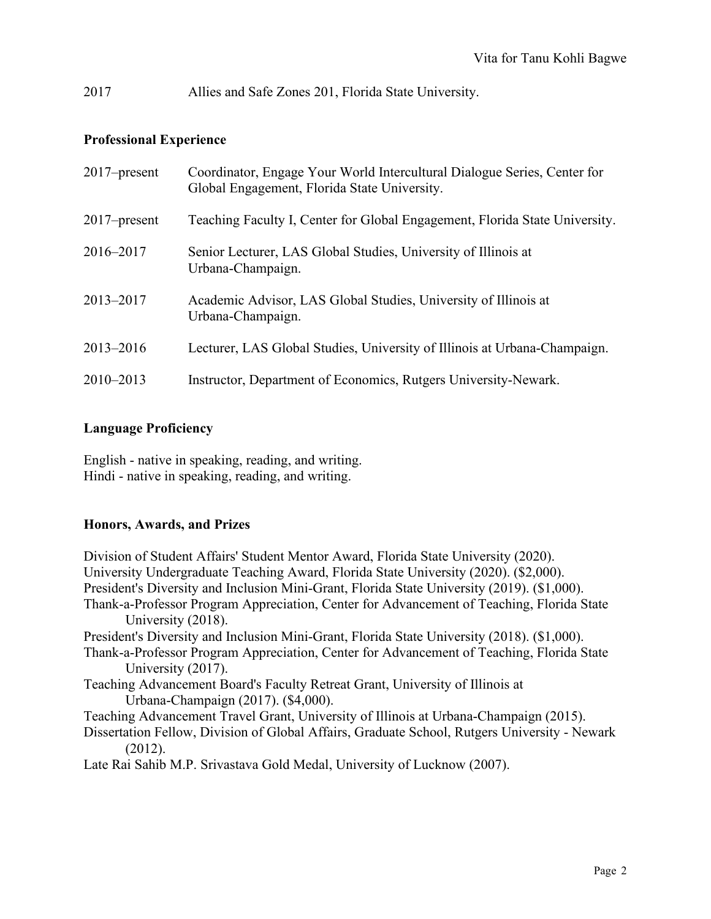2017 Allies and Safe Zones 201, Florida State University.

## **Professional Experience**

| $2017$ -present | Coordinator, Engage Your World Intercultural Dialogue Series, Center for<br>Global Engagement, Florida State University. |
|-----------------|--------------------------------------------------------------------------------------------------------------------------|
| $2017$ -present | Teaching Faculty I, Center for Global Engagement, Florida State University.                                              |
| 2016–2017       | Senior Lecturer, LAS Global Studies, University of Illinois at<br>Urbana-Champaign.                                      |
| 2013-2017       | Academic Advisor, LAS Global Studies, University of Illinois at<br>Urbana-Champaign.                                     |
| $2013 - 2016$   | Lecturer, LAS Global Studies, University of Illinois at Urbana-Champaign.                                                |
| $2010 - 2013$   | Instructor, Department of Economics, Rutgers University-Newark.                                                          |

## **Language Proficiency**

English - native in speaking, reading, and writing. Hindi - native in speaking, reading, and writing.

## **Honors, Awards, and Prizes**

Division of Student Affairs' Student Mentor Award, Florida State University (2020). University Undergraduate Teaching Award, Florida State University (2020). (\$2,000). President's Diversity and Inclusion Mini-Grant, Florida State University (2019). (\$1,000). Thank-a-Professor Program Appreciation, Center for Advancement of Teaching, Florida State University (2018). President's Diversity and Inclusion Mini-Grant, Florida State University (2018). (\$1,000). Thank-a-Professor Program Appreciation, Center for Advancement of Teaching, Florida State University (2017). Teaching Advancement Board's Faculty Retreat Grant, University of Illinois at Urbana-Champaign (2017). (\$4,000). Teaching Advancement Travel Grant, University of Illinois at Urbana-Champaign (2015). Dissertation Fellow, Division of Global Affairs, Graduate School, Rutgers University - Newark (2012). Late Rai Sahib M.P. Srivastava Gold Medal, University of Lucknow (2007).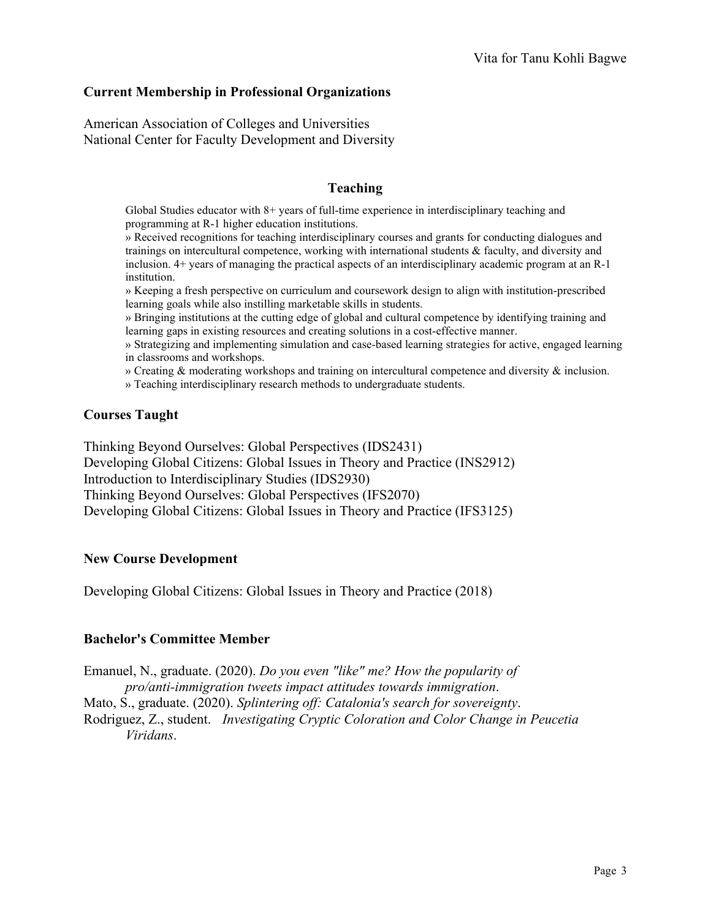#### **Current Membership in Professional Organizations**

American Association of Colleges and Universities National Center for Faculty Development and Diversity

#### **Teaching**

Global Studies educator with 8+ years of full-time experience in interdisciplinary teaching and programming at R-1 higher education institutions.

» Received recognitions for teaching interdisciplinary courses and grants for conducting dialogues and trainings on intercultural competence, working with international students & faculty, and diversity and inclusion. 4+ years of managing the practical aspects of an interdisciplinary academic program at an R-1 institution.

» Keeping a fresh perspective on curriculum and coursework design to align with institution-prescribed learning goals while also instilling marketable skills in students.

» Bringing institutions at the cutting edge of global and cultural competence by identifying training and learning gaps in existing resources and creating solutions in a cost-effective manner.

» Strategizing and implementing simulation and case-based learning strategies for active, engaged learning in classrooms and workshops.

» Creating & moderating workshops and training on intercultural competence and diversity & inclusion.

» Teaching interdisciplinary research methods to undergraduate students.

## **Courses Taught**

Thinking Beyond Ourselves: Global Perspectives (IDS2431) Developing Global Citizens: Global Issues in Theory and Practice (INS2912) Introduction to Interdisciplinary Studies (IDS2930) Thinking Beyond Ourselves: Global Perspectives (IFS2070) Developing Global Citizens: Global Issues in Theory and Practice (IFS3125)

#### **New Course Development**

Developing Global Citizens: Global Issues in Theory and Practice (2018)

#### **Bachelor's Committee Member**

Emanuel, N., graduate. (2020). *Do you even "like" me? How the popularity of pro/anti-immigration tweets impact attitudes towards immigration*.

Mato, S., graduate. (2020). *Splintering off: Catalonia's search for sovereignty*.

Rodriguez, Z., student. *Investigating Cryptic Coloration and Color Change in Peucetia Viridans*.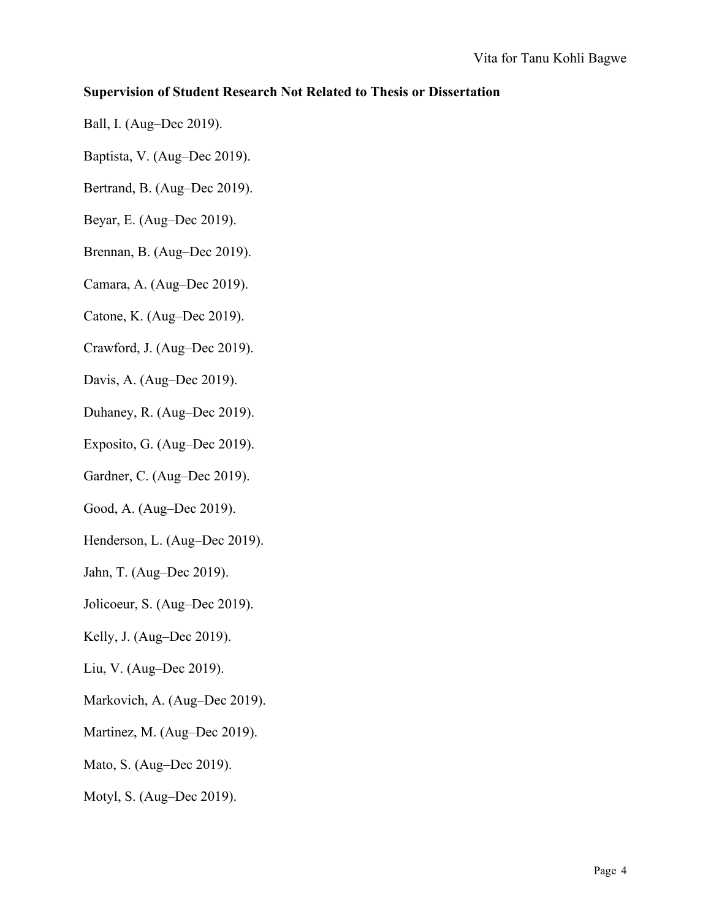## **Supervision of Student Research Not Related to Thesis or Dissertation**

- Ball, I. (Aug–Dec 2019).
- Baptista, V. (Aug–Dec 2019).
- Bertrand, B. (Aug–Dec 2019).
- Beyar, E. (Aug–Dec 2019).
- Brennan, B. (Aug–Dec 2019).
- Camara, A. (Aug–Dec 2019).
- Catone, K. (Aug–Dec 2019).
- Crawford, J. (Aug–Dec 2019).
- Davis, A. (Aug–Dec 2019).
- Duhaney, R. (Aug–Dec 2019).
- Exposito, G. (Aug–Dec 2019).
- Gardner, C. (Aug–Dec 2019).
- Good, A. (Aug–Dec 2019).
- Henderson, L. (Aug–Dec 2019).
- Jahn, T. (Aug–Dec 2019).
- Jolicoeur, S. (Aug–Dec 2019).
- Kelly, J. (Aug–Dec 2019).
- Liu, V. (Aug–Dec 2019).
- Markovich, A. (Aug–Dec 2019).
- Martinez, M. (Aug–Dec 2019).
- Mato, S. (Aug–Dec 2019).
- Motyl, S. (Aug–Dec 2019).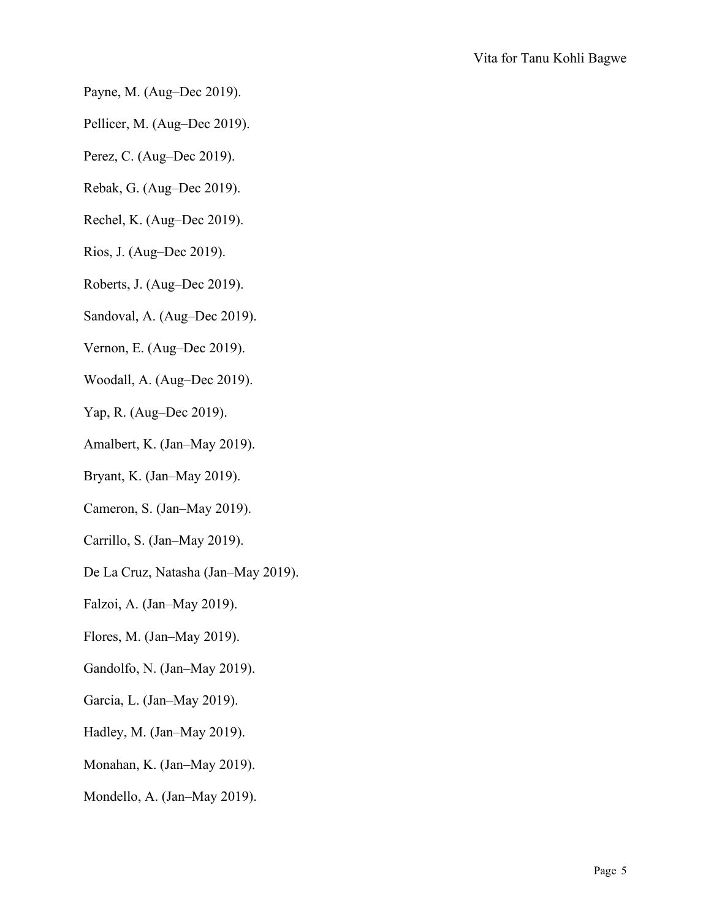- Payne, M. (Aug–Dec 2019).
- Pellicer, M. (Aug–Dec 2019).
- Perez, C. (Aug–Dec 2019).
- Rebak, G. (Aug–Dec 2019).
- Rechel, K. (Aug–Dec 2019).
- Rios, J. (Aug–Dec 2019).
- Roberts, J. (Aug–Dec 2019).
- Sandoval, A. (Aug–Dec 2019).
- Vernon, E. (Aug–Dec 2019).
- Woodall, A. (Aug–Dec 2019).
- Yap, R. (Aug–Dec 2019).
- Amalbert, K. (Jan–May 2019).
- Bryant, K. (Jan–May 2019).
- Cameron, S. (Jan–May 2019).
- Carrillo, S. (Jan–May 2019).
- De La Cruz, Natasha (Jan–May 2019).
- Falzoi, A. (Jan–May 2019).
- Flores, M. (Jan–May 2019).
- Gandolfo, N. (Jan–May 2019).
- Garcia, L. (Jan–May 2019).
- Hadley, M. (Jan–May 2019).
- Monahan, K. (Jan–May 2019).
- Mondello, A. (Jan–May 2019).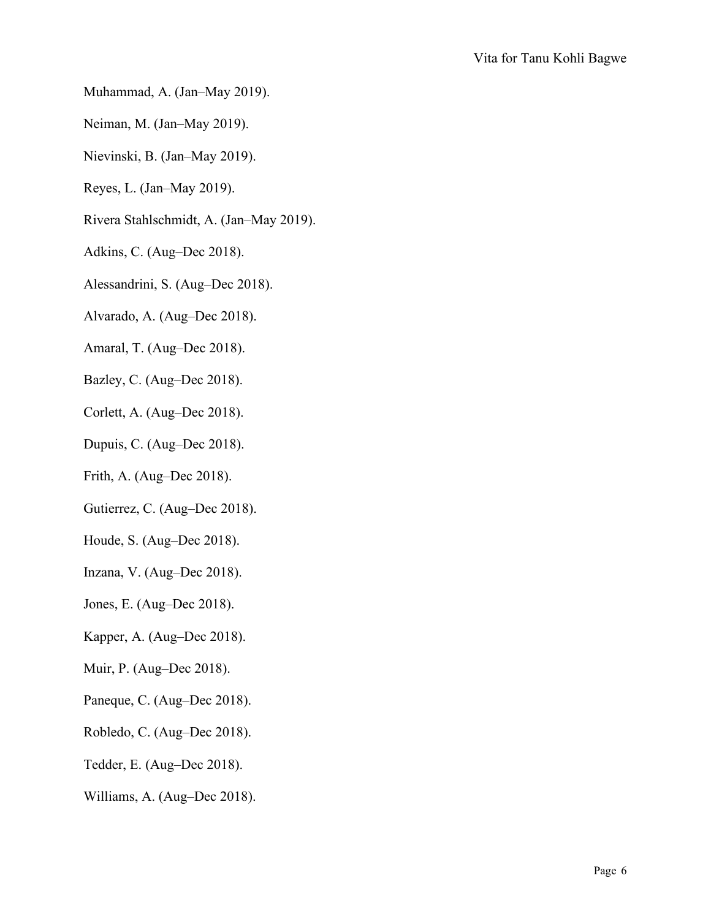- Muhammad, A. (Jan–May 2019).
- Neiman, M. (Jan–May 2019).
- Nievinski, B. (Jan–May 2019).
- Reyes, L. (Jan–May 2019).
- Rivera Stahlschmidt, A. (Jan–May 2019).
- Adkins, C. (Aug–Dec 2018).
- Alessandrini, S. (Aug–Dec 2018).
- Alvarado, A. (Aug–Dec 2018).
- Amaral, T. (Aug–Dec 2018).
- Bazley, C. (Aug–Dec 2018).
- Corlett, A. (Aug–Dec 2018).
- Dupuis, C. (Aug–Dec 2018).
- Frith, A. (Aug–Dec 2018).
- Gutierrez, C. (Aug–Dec 2018).
- Houde, S. (Aug–Dec 2018).
- Inzana, V. (Aug–Dec 2018).
- Jones, E. (Aug–Dec 2018).
- Kapper, A. (Aug–Dec 2018).
- Muir, P. (Aug–Dec 2018).
- Paneque, C. (Aug–Dec 2018).
- Robledo, C. (Aug–Dec 2018).
- Tedder, E. (Aug–Dec 2018).
- Williams, A. (Aug–Dec 2018).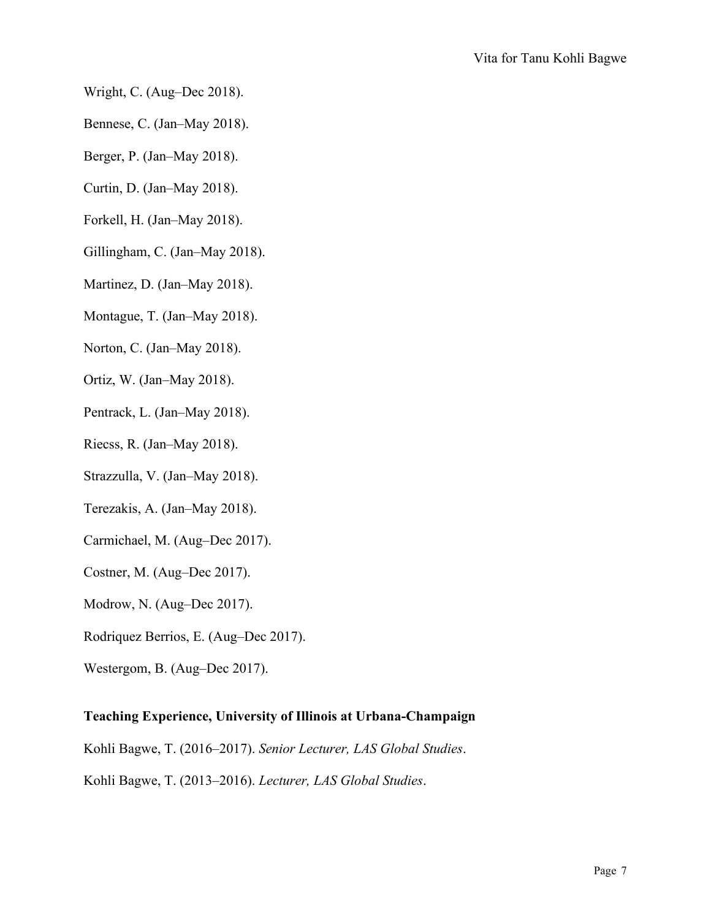- Wright, C. (Aug–Dec 2018).
- Bennese, C. (Jan–May 2018).
- Berger, P. (Jan–May 2018).
- Curtin, D. (Jan–May 2018).
- Forkell, H. (Jan–May 2018).
- Gillingham, C. (Jan–May 2018).
- Martinez, D. (Jan–May 2018).
- Montague, T. (Jan–May 2018).
- Norton, C. (Jan–May 2018).
- Ortiz, W. (Jan–May 2018).
- Pentrack, L. (Jan–May 2018).
- Riecss, R. (Jan–May 2018).
- Strazzulla, V. (Jan–May 2018).
- Terezakis, A. (Jan–May 2018).
- Carmichael, M. (Aug–Dec 2017).
- Costner, M. (Aug–Dec 2017).
- Modrow, N. (Aug–Dec 2017).
- Rodriquez Berrios, E. (Aug–Dec 2017).
- Westergom, B. (Aug–Dec 2017).

#### **Teaching Experience, University of Illinois at Urbana-Champaign**

Kohli Bagwe, T. (2016–2017). *Senior Lecturer, LAS Global Studies*.

Kohli Bagwe, T. (2013–2016). *Lecturer, LAS Global Studies*.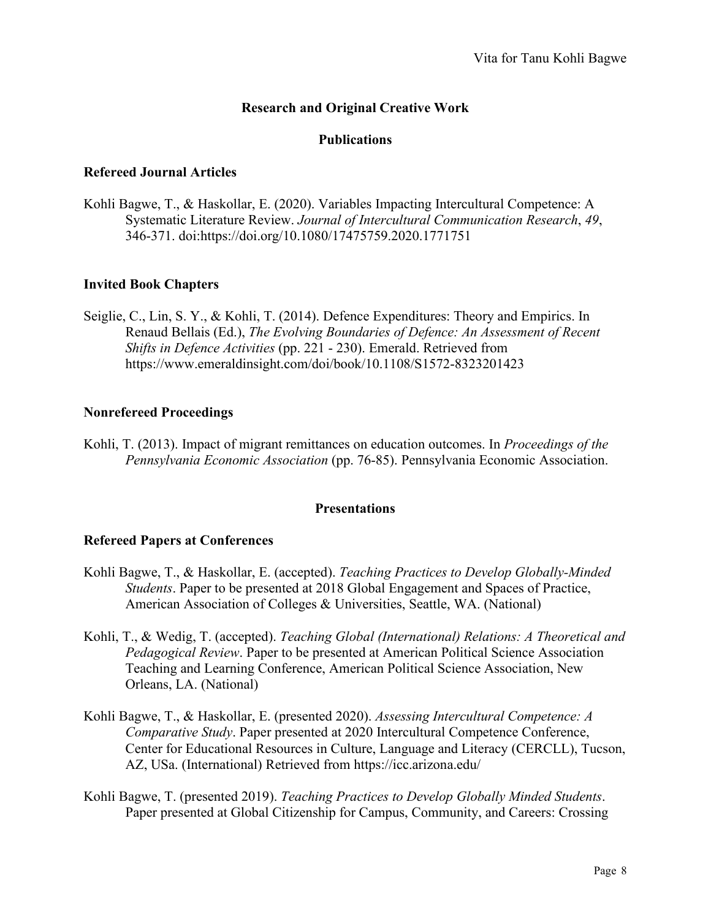## **Research and Original Creative Work**

#### **Publications**

#### **Refereed Journal Articles**

Kohli Bagwe, T., & Haskollar, E. (2020). Variables Impacting Intercultural Competence: A Systematic Literature Review. *Journal of Intercultural Communication Research*, *49*, 346-371. doi:https://doi.org/10.1080/17475759.2020.1771751

#### **Invited Book Chapters**

Seiglie, C., Lin, S. Y., & Kohli, T. (2014). Defence Expenditures: Theory and Empirics. In Renaud Bellais (Ed.), *The Evolving Boundaries of Defence: An Assessment of Recent Shifts in Defence Activities* (pp. 221 - 230). Emerald. Retrieved from <https://www.emeraldinsight.com/doi/book/10.1108/S1572-8323201423>

#### **Nonrefereed Proceedings**

Kohli, T. (2013). Impact of migrant remittances on education outcomes. In *Proceedings of the Pennsylvania Economic Association* (pp. 76-85). Pennsylvania Economic Association.

#### **Presentations**

#### **Refereed Papers at Conferences**

- Kohli Bagwe, T., & Haskollar, E. (accepted). *Teaching Practices to Develop Globally-Minded Students*. Paper to be presented at 2018 Global Engagement and Spaces of Practice, American Association of Colleges & Universities, Seattle, WA. (National)
- Kohli, T., & Wedig, T. (accepted). *Teaching Global (International) Relations: A Theoretical and Pedagogical Review*. Paper to be presented at American Political Science Association Teaching and Learning Conference, American Political Science Association, New Orleans, LA. (National)
- Kohli Bagwe, T., & Haskollar, E. (presented 2020). *Assessing Intercultural Competence: A Comparative Study*. Paper presented at 2020 Intercultural Competence Conference, Center for Educational Resources in Culture, Language and Literacy (CERCLL), Tucson, AZ, USa. (International) Retrieved from<https://icc.arizona.edu/>
- Kohli Bagwe, T. (presented 2019). *Teaching Practices to Develop Globally Minded Students*. Paper presented at Global Citizenship for Campus, Community, and Careers: Crossing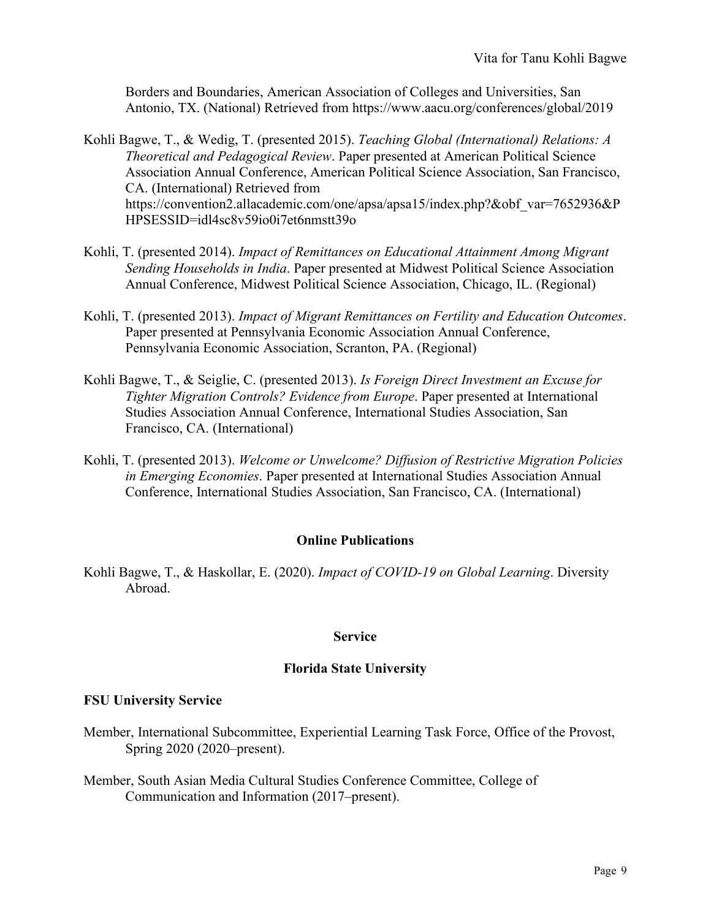Borders and Boundaries, American Association of Colleges and Universities, San Antonio, TX. (National) Retrieved from<https://www.aacu.org/conferences/global/2019>

- Kohli Bagwe, T., & Wedig, T. (presented 2015). *Teaching Global (International) Relations: A Theoretical and Pedagogical Review*. Paper presented at American Political Science Association Annual Conference, American Political Science Association, San Francisco, CA. (International) Retrieved from [https://convention2.allacademic.com/one/apsa/apsa15/index.php?&obf\\_var=7652936&P](https://convention2.allacademic.com/one/apsa/apsa15/index.php?&obf_var=7652936&PHPSESSID=idl4sc8v59io0i7et6nmstt39o) [HPSESSID=idl4sc8v59io0i7et6nmstt39o](https://convention2.allacademic.com/one/apsa/apsa15/index.php?&obf_var=7652936&PHPSESSID=idl4sc8v59io0i7et6nmstt39o)
- Kohli, T. (presented 2014). *Impact of Remittances on Educational Attainment Among Migrant Sending Households in India*. Paper presented at Midwest Political Science Association Annual Conference, Midwest Political Science Association, Chicago, IL. (Regional)
- Kohli, T. (presented 2013). *Impact of Migrant Remittances on Fertility and Education Outcomes*. Paper presented at Pennsylvania Economic Association Annual Conference, Pennsylvania Economic Association, Scranton, PA. (Regional)
- Kohli Bagwe, T., & Seiglie, C. (presented 2013). *Is Foreign Direct Investment an Excuse for Tighter Migration Controls? Evidence from Europe*. Paper presented at International Studies Association Annual Conference, International Studies Association, San Francisco, CA. (International)
- Kohli, T. (presented 2013). *Welcome or Unwelcome? Diffusion of Restrictive Migration Policies in Emerging Economies*. Paper presented at International Studies Association Annual Conference, International Studies Association, San Francisco, CA. (International)

## **Online Publications**

Kohli Bagwe, T., & Haskollar, E. (2020). *Impact of COVID-19 on Global Learning*. Diversity Abroad.

#### **Service**

## **Florida State University**

#### **FSU University Service**

- Member, International Subcommittee, Experiential Learning Task Force, Office of the Provost, Spring 2020 (2020–present).
- Member, South Asian Media Cultural Studies Conference Committee, College of Communication and Information (2017–present).